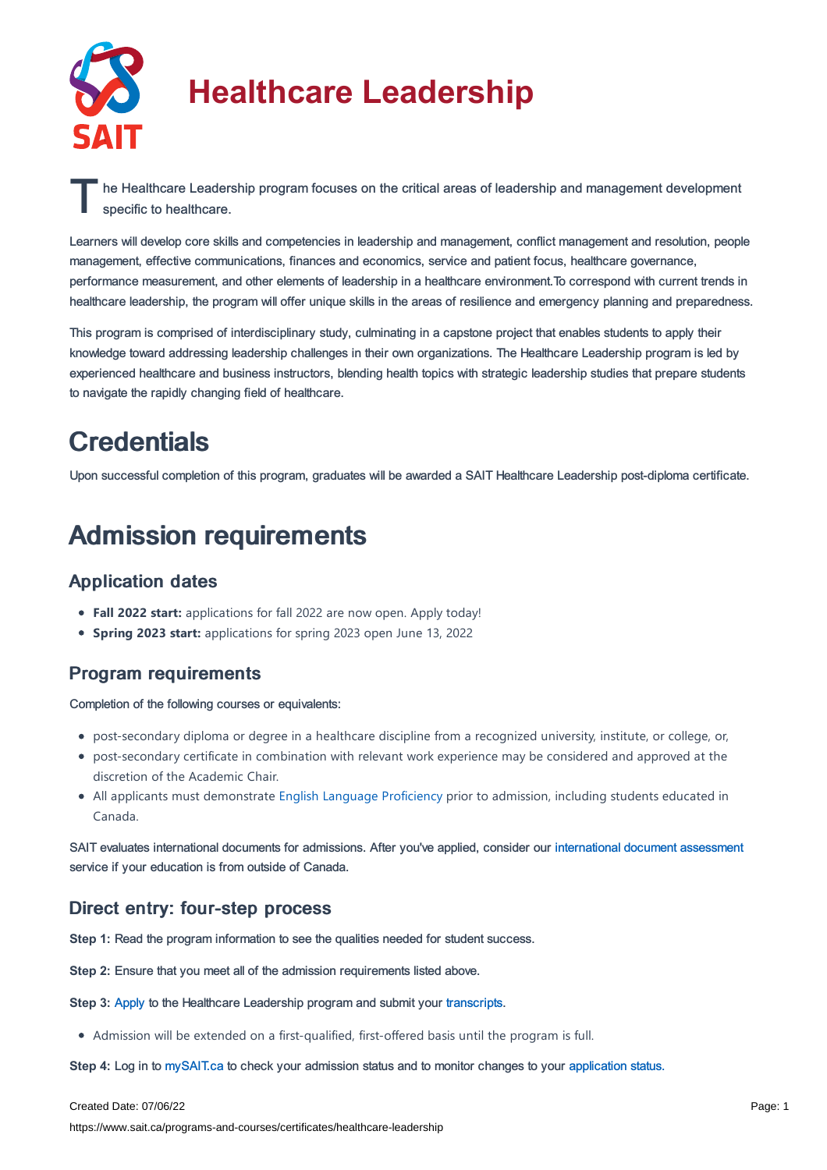

# **Healthcare Leadership**

The Healthcare Leadership program focuses on the critical areas of leadership and management development<br>specific to healthcare. specific to healthcare.

Learners will develop core skills and competencies in leadership and management, conflict management and resolution, people management, effective communications, finances and economics, service and patient focus, healthcare governance, performance measurement, and other elements of leadership in a healthcare environment.To correspond with current trends in healthcare leadership, the program will offer unique skills in the areas of resilience and emergency planning and preparedness.

This program is comprised of interdisciplinary study, culminating in a capstone project that enables students to apply their knowledge toward addressing leadership challenges in their own organizations. The Healthcare Leadership program is led by experienced healthcare and business instructors, blending health topics with strategic leadership studies that prepare students to navigate the rapidly changing field of healthcare.

### **Credentials**

Upon successful completion of this program, graduates will be awarded a SAIT Healthcare Leadership post-diploma certificate.

## Admission requirements

#### Application dates

- **Fall 2022 start:** applications for fall 2022 are now open. Apply today!
- **Spring 2023 start:** applications for spring 2023 open June 13, 2022

#### Program requirements

Completion of the following courses or equivalents:

- post-secondary diploma or degree in a healthcare discipline from a recognized university, institute, or college, or,
- post-secondary certificate in combination with relevant work experience may be considered and approved at the discretion of the Academic Chair.
- All applicants must demonstrate English Language [Proficiency](https://www.sait.ca/admissions/before-you-apply/english-proficiency) prior to admission, including students educated in Canada.

SAIT evaluates international documents for admissions. After you've applied, consider our [international](https://www.sait.ca/admissions/after-you-apply/international-document-assessment) document assessment service if your education is from outside of Canada.

#### Direct entry: four-step process

**Step 1:** Read the program information to see the qualities needed for student success.

**Step 2:** Ensure that you meet all of the admission requirements listed above.

**Step 3: [Apply](https://www.sait.ca/admissions/apply) to the Healthcare Leadership program and submit your [transcripts](https://www.sait.ca/admissions/after-you-apply/transcripts-and-supporting-documents).** 

Admission will be extended on a first-qualified, first-offered basis until the program is full.

**Step 4:** Log in to [mySAIT.ca](https://www.mysait.ca/) to check your admission status and to monitor changes to your [application](https://www.sait.ca/admissions/after-you-apply/tracking-your-application) status.

Created Date: 07/06/22

https://www.sait.ca/programs-and-courses/certificates/healthcare-leadership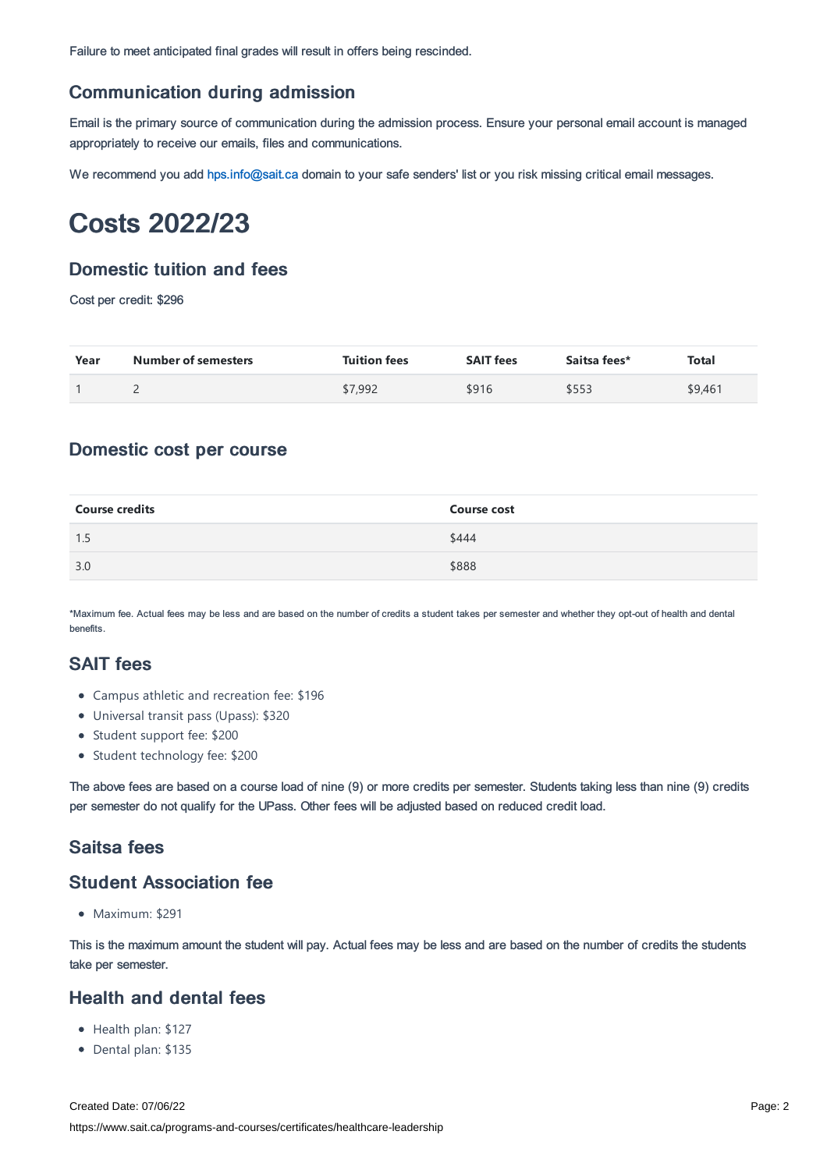Failure to meet anticipated final grades will result in offers being rescinded.

#### Communication during admission

Email is the primary source of communication during the admission process. Ensure your personal email account is managed appropriately to receive our emails, files and communications.

We recommend you add [hps.info@sait.ca](https://sait.camailto:hps.info@sait.ca) domain to your safe senders' list or you risk missing critical email messages.

### Costs 2022/23

#### Domestic tuition and fees

Cost per credit: \$296

| Year | <b>Number of semesters</b> | <b>Tuition fees</b> | <b>SAIT fees</b> | Saitsa fees* | Total   |
|------|----------------------------|---------------------|------------------|--------------|---------|
|      | -                          | \$7,992             | \$916            | \$553        | \$9,461 |

#### Domestic cost per course

| <b>Course credits</b> | <b>Course cost</b> |
|-----------------------|--------------------|
| 1.5                   | \$444              |
| 3.0                   | \$888              |

\*Maximum fee. Actual fees may be less and are based on the number of credits a student takes per semester and whether they opt-out of health and dental benefits.

#### SAIT fees

- Campus athletic and recreation fee: \$196
- Universal transit pass (Upass): \$320
- Student support fee: \$200
- Student technology fee: \$200

The above fees are based on a course load of nine (9) or more credits per semester. Students taking less than nine (9) credits per semester do not qualify for the UPass. Other fees will be adjusted based on reduced credit load.

#### Saitsa fees

#### Student Association fee

• Maximum: \$291

This is the maximum amount the student will pay. Actual fees may be less and are based on the number of credits the students take per semester.

#### Health and dental fees

- Health plan: \$127
- Dental plan: \$135